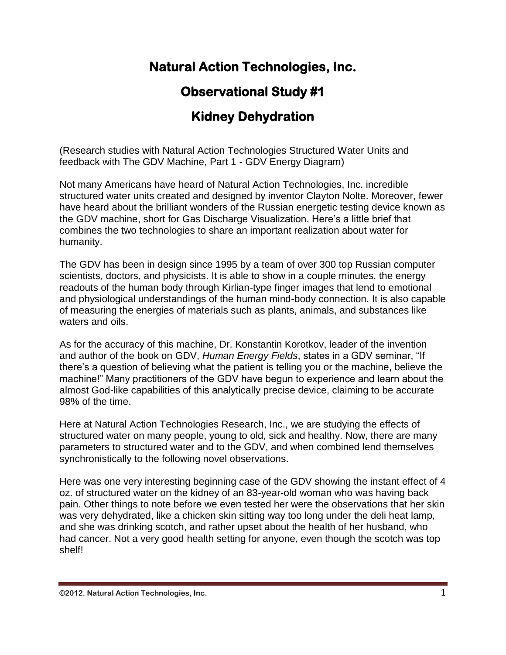# **Natural Action Technologies, Inc.**

# **Observational Study #1**

# **Kidney Dehydration**

(Research studies with Natural Action Technologies Structured Water Units and feedback with The GDV Machine, Part 1 - GDV Energy Diagram)

Not many Americans have heard of Natural Action Technologies, Inc. incredible structured water units created and designed by inventor Clayton Nolte. Moreover, fewer have heard about the brilliant wonders of the Russian energetic testing device known as the GDV machine, short for Gas Discharge Visualization. Here's a little brief that combines the two technologies to share an important realization about water for humanity.

The GDV has been in design since 1995 by a team of over 300 top Russian computer scientists, doctors, and physicists. It is able to show in a couple minutes, the energy readouts of the human body through Kirlian-type finger images that lend to emotional and physiological understandings of the human mind-body connection. It is also capable of measuring the energies of materials such as plants, animals, and substances like waters and oils.

As for the accuracy of this machine, Dr. Konstantin Korotkov, leader of the invention and author of the book on GDV, *Human Energy Fields*, states in a GDV seminar, "If there's a question of believing what the patient is telling you or the machine, believe the machine!" Many practitioners of the GDV have begun to experience and learn about the almost God-like capabilities of this analytically precise device, claiming to be accurate 98% of the time.

Here at Natural Action Technologies Research, Inc., we are studying the effects of structured water on many people, young to old, sick and healthy. Now, there are many parameters to structured water and to the GDV, and when combined lend themselves synchronistically to the following novel observations.

Here was one very interesting beginning case of the GDV showing the instant effect of 4 oz. of structured water on the kidney of an 83-year-old woman who was having back pain. Other things to note before we even tested her were the observations that her skin was very dehydrated, like a chicken skin sitting way too long under the deli heat lamp, and she was drinking scotch, and rather upset about the health of her husband, who had cancer. Not a very good health setting for anyone, even though the scotch was top shelf!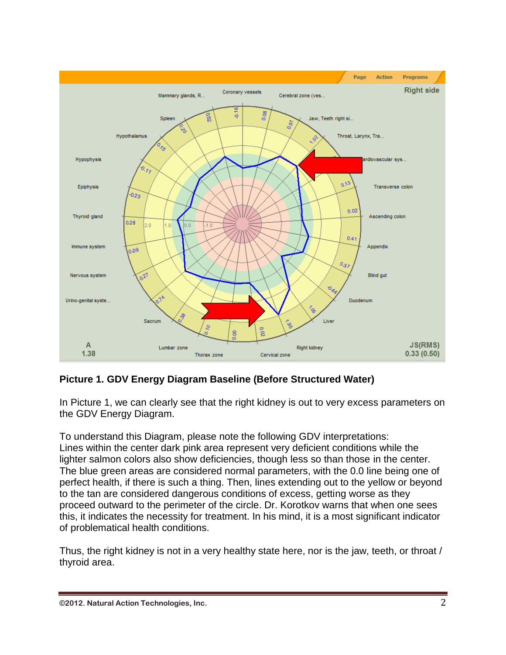

## **Picture 1. GDV Energy Diagram Baseline (Before Structured Water)**

In Picture 1, we can clearly see that the right kidney is out to very excess parameters on the GDV Energy Diagram.

To understand this Diagram, please note the following GDV interpretations: Lines within the center dark pink area represent very deficient conditions while the lighter salmon colors also show deficiencies, though less so than those in the center. The blue green areas are considered normal parameters, with the 0.0 line being one of perfect health, if there is such a thing. Then, lines extending out to the yellow or beyond to the tan are considered dangerous conditions of excess, getting worse as they proceed outward to the perimeter of the circle. Dr. Korotkov warns that when one sees this, it indicates the necessity for treatment. In his mind, it is a most significant indicator of problematical health conditions.

Thus, the right kidney is not in a very healthy state here, nor is the jaw, teeth, or throat / thyroid area.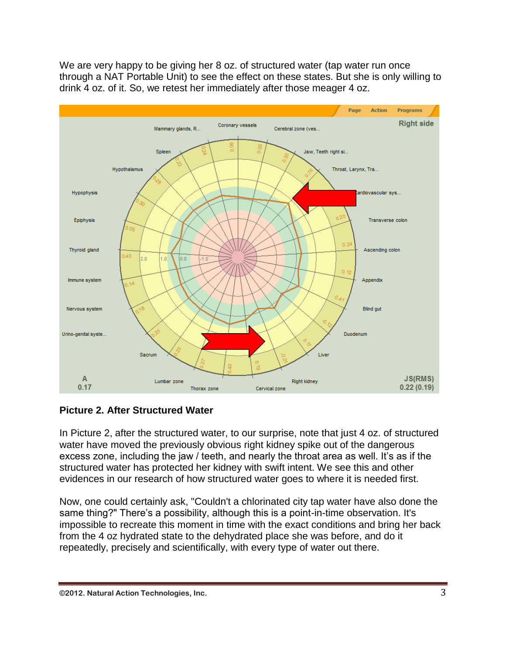We are very happy to be giving her 8 oz. of structured water (tap water run once through a NAT Portable Unit) to see the effect on these states. But she is only willing to drink 4 oz. of it. So, we retest her immediately after those meager 4 oz.



## **Picture 2. After Structured Water**

In Picture 2, after the structured water, to our surprise, note that just 4 oz. of structured water have moved the previously obvious right kidney spike out of the dangerous excess zone, including the jaw / teeth, and nearly the throat area as well. It's as if the structured water has protected her kidney with swift intent. We see this and other evidences in our research of how structured water goes to where it is needed first.

Now, one could certainly ask, "Couldn't a chlorinated city tap water have also done the same thing?" There's a possibility, although this is a point-in-time observation. It's impossible to recreate this moment in time with the exact conditions and bring her back from the 4 oz hydrated state to the dehydrated place she was before, and do it repeatedly, precisely and scientifically, with every type of water out there.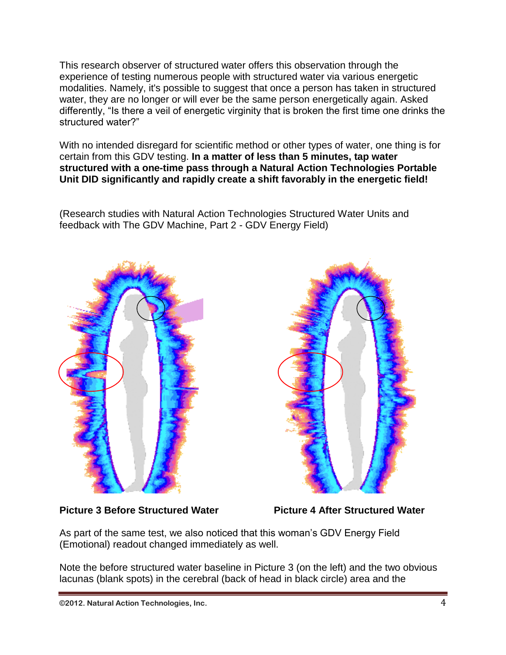This research observer of structured water offers this observation through the experience of testing numerous people with structured water via various energetic modalities. Namely, it's possible to suggest that once a person has taken in structured water, they are no longer or will ever be the same person energetically again. Asked differently, "Is there a veil of energetic virginity that is broken the first time one drinks the structured water?"

With no intended disregard for scientific method or other types of water, one thing is for certain from this GDV testing. **In a matter of less than 5 minutes, tap water structured with a one-time pass through a Natural Action Technologies Portable Unit DID significantly and rapidly create a shift favorably in the energetic field!**

(Research studies with Natural Action Technologies Structured Water Units and feedback with The GDV Machine, Part 2 - GDV Energy Field)





Picture 3 Before Structured Water **Picture 4 After Structured Water** 

As part of the same test, we also noticed that this woman's GDV Energy Field (Emotional) readout changed immediately as well.

Note the before structured water baseline in Picture 3 (on the left) and the two obvious lacunas (blank spots) in the cerebral (back of head in black circle) area and the